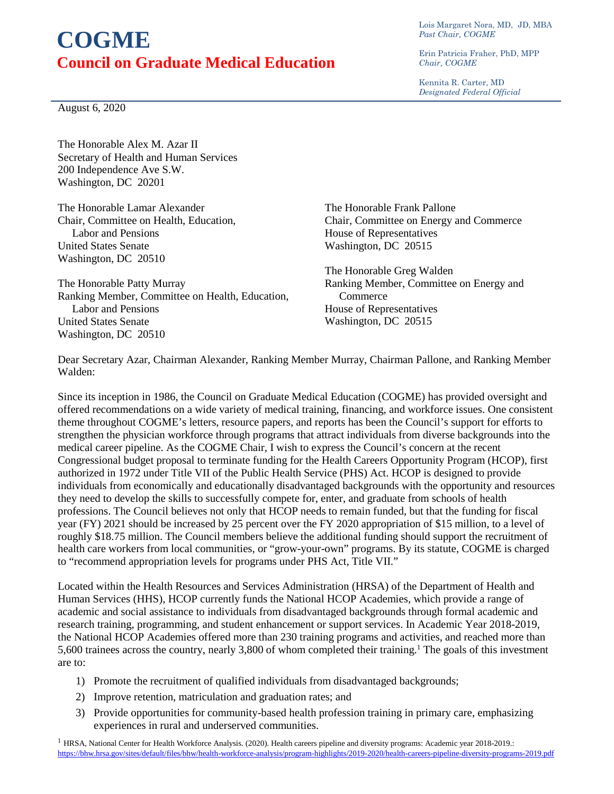## **COGME Council on Graduate Medical Education**

Lois Margaret Nora, MD, JD, MBA *Past Chair, COGME*

Erin Patricia Fraher, PhD, MPP *Chair, COGME*

Kennita R. Carter, MD *Designated Federal Official*

August 6, 2020

The Honorable Alex M. Azar II Secretary of Health and Human Services 200 Independence Ave S.W. Washington, DC 20201

The Honorable Lamar Alexander Chair, Committee on Health, Education, Labor and Pensions United States Senate Washington, DC 20510

The Honorable Patty Murray Ranking Member, Committee on Health, Education, Labor and Pensions United States Senate Washington, DC 20510

The Honorable Frank Pallone Chair, Committee on Energy and Commerce House of Representatives Washington, DC 20515

The Honorable Greg Walden Ranking Member, Committee on Energy and **Commerce** House of Representatives Washington, DC 20515

Dear Secretary Azar, Chairman Alexander, Ranking Member Murray, Chairman Pallone, and Ranking Member Walden:

Since its inception in 1986, the Council on Graduate Medical Education (COGME) has provided oversight and offered recommendations on a wide variety of medical training, financing, and workforce issues. One consistent theme throughout COGME's letters, resource papers, and reports has been the Council's support for efforts to strengthen the physician workforce through programs that attract individuals from diverse backgrounds into the medical career pipeline. As the COGME Chair, I wish to express the Council's concern at the recent Congressional budget proposal to terminate funding for the Health Careers Opportunity Program (HCOP), first authorized in 1972 under Title VII of the Public Health Service (PHS) Act. HCOP is designed to provide individuals from economically and educationally disadvantaged backgrounds with the opportunity and resources they need to develop the skills to successfully compete for, enter, and graduate from schools of health professions. The Council believes not only that HCOP needs to remain funded, but that the funding for fiscal year (FY) 2021 should be increased by 25 percent over the FY 2020 appropriation of \$15 million, to a level of roughly \$18.75 million. The Council members believe the additional funding should support the recruitment of health care workers from local communities, or "grow-your-own" programs. By its statute, COGME is charged to "recommend appropriation levels for programs under PHS Act, Title VII."

Located within the Health Resources and Services Administration (HRSA) of the Department of Health and Human Services (HHS), HCOP currently funds the National HCOP Academies, which provide a range of academic and social assistance to individuals from disadvantaged backgrounds through formal academic and research training, programming, and student enhancement or support services. In Academic Year 2018-2019, the National HCOP Academies offered more than 230 training programs and activities, and reached more than 5,600 trainees across the country, nearly 3,800 of whom completed their training.<sup>1</sup> The goals of this investment are to:

- 1) Promote the recruitment of qualified individuals from disadvantaged backgrounds;
- 2) Improve retention, matriculation and graduation rates; and
- 3) Provide opportunities for community-based health profession training in primary care, emphasizing experiences in rural and underserved communities.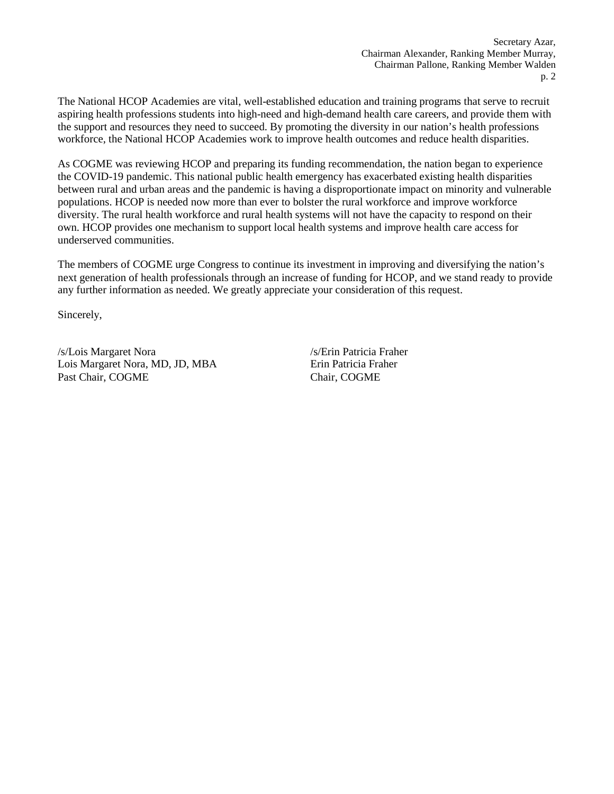The National HCOP Academies are vital, well-established education and training programs that serve to recruit aspiring health professions students into high-need and high-demand health care careers, and provide them with the support and resources they need to succeed. By promoting the diversity in our nation's health professions workforce, the National HCOP Academies work to improve health outcomes and reduce health disparities.

As COGME was reviewing HCOP and preparing its funding recommendation, the nation began to experience the COVID-19 pandemic. This national public health emergency has exacerbated existing health disparities between rural and urban areas and the pandemic is having a disproportionate impact on minority and vulnerable populations. HCOP is needed now more than ever to bolster the rural workforce and improve workforce diversity. The rural health workforce and rural health systems will not have the capacity to respond on their own. HCOP provides one mechanism to support local health systems and improve health care access for underserved communities.

The members of COGME urge Congress to continue its investment in improving and diversifying the nation's next generation of health professionals through an increase of funding for HCOP, and we stand ready to provide any further information as needed. We greatly appreciate your consideration of this request.

Sincerely,

/s/Lois Margaret Nora Lois Margaret Nora, MD, JD, MBA Past Chair, COGME

/s/Erin Patricia Fraher Erin Patricia Fraher Chair, COGME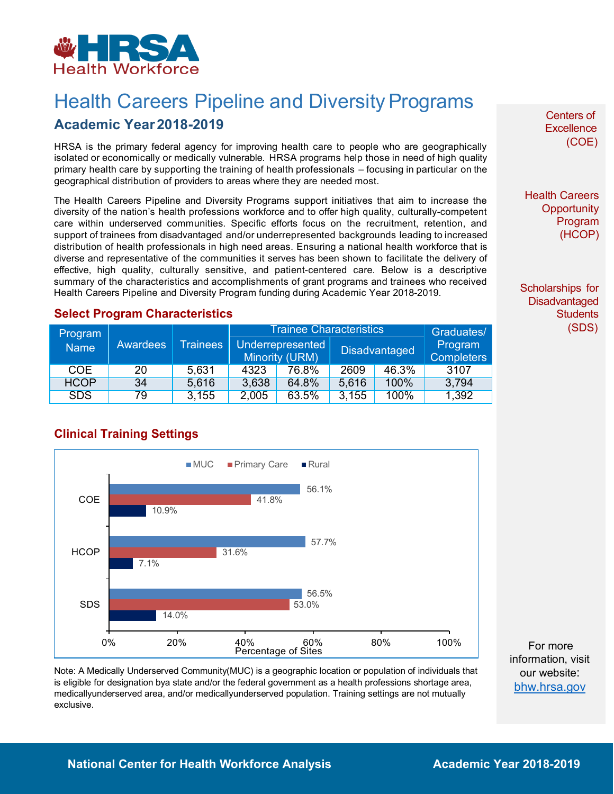<span id="page-2-0"></span>

# **Health Careers Pipeline and Diversity Programs**

### **Academic Year2018-2019**

HRSA is the primary federal agency for improving health care to people who are geographically isolated or economically or medically vulnerable. HRSA programs help those in need of high quality primary health care by supporting the training of health professionals – focusing in particular on the geographical distribution of providers to areas where they are needed most.

The Health Careers Pipeline and Diversity Programs support initiatives that aim to increase the diversity of the nation's health professions workforce and to offer high quality, culturally-competent care within underserved communities. Specific efforts focus on the recruitment, retention, and support of trainees from disadvantaged and/or underrepresented backgrounds leading to increased distribution of health professionals in high need areas. Ensuring a national health workforce that is diverse and representative of the communities it serves has been shown to facilitate the delivery of effective, high quality, culturally sensitive, and patient-centered care. Below is a descriptive summary of the characteristics and accomplishments of grant programs and trainees who received Health Careers Pipeline and Diversity Program funding during Academic Year 2018-2019.

#### **Select Program Characteristics**

| Program<br><b>Name</b> | Awardees | <b>Trainees</b> | <b>Trainee Characteristics</b> |                |                      |       | Graduates/        |
|------------------------|----------|-----------------|--------------------------------|----------------|----------------------|-------|-------------------|
|                        |          |                 | Underrepresented               |                | <b>Disadvantaged</b> |       | Program           |
|                        |          |                 |                                | Minority (URM) |                      |       | <b>Completers</b> |
| <b>COE</b>             | 20       | 5,631           | 4323                           | 76.8%          | 2609                 | 46.3% | 3107              |
| <b>HCOP</b>            | 34       | 5,616           | 3,638                          | 64.8%          | 5,616                | 100%  | 3,794             |
| <b>SDS</b>             | 79       | 3,155           | 2,005                          | 63.5%          | 3,155                | 100%  | 1,392             |

 $MUC$ Primary Care  $Rural$ 56.1% COE 41.8% 10.9% 57.7% **HCOP** 31.6%  $7.1%$ 56.5% SDS 53.0% 14.0% 20% 40% 60%<br>Percentage of Sites 40% 80% 0% 100%

#### **Clinical Training Settings**

Note: A Medically Underserved Community(MUC) is a geographic location or population of individuals that is eligible for designation bya state and/or the federal government as a health professions shortage area, medicallyunderserved area, and/or medicallyunderserved population. Training settings are not mutually exclusive.

Centers of **Excellence** (COE)

Health Careers **Opportunity** Program (HCOP)

Scholarships for **Disadvantaged Students** (SDS)

For more information, visit our website: [bhw.hrsa.gov](http://bhw.hrsa.gov/)